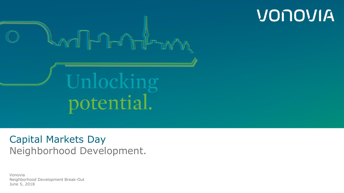

#### Capital Markets Day Neighborhood Development.

Vonovia Neighborhood Development Break-Out June 5, 2018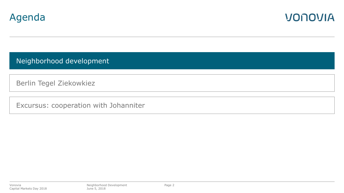



Neighborhood development

Berlin Tegel Ziekowkiez

Excursus: cooperation with Johanniter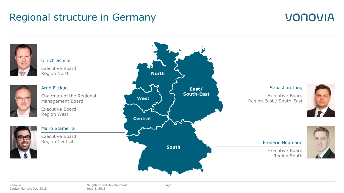#### Regional structure in Germany



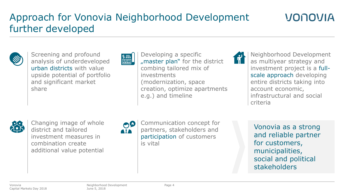# Approach for Vonovia Neighborhood Development further developed



Screening and profound analysis of underdeveloped urban districts with value upside potential of portfolio and significant market share



Developing a specific "master plan" for the district combing tailored mix of investments (modernization, space creation, optimize apartments e.g.) and timeline



Neighborhood Development as multiyear strategy and investment project is a fullscale approach developing entire districts taking into account economic, infrastructural and social criteria

VONOVIA



Changing image of whole district and tailored investment measures in combination create additional value potential

 $\mathbf{O}^{\mathbf{O}}$ 

Communication concept for partners, stakeholders and participation of customers is vital

Vonovia as a strong and reliable partner for customers, municipalities, social and political stakeholders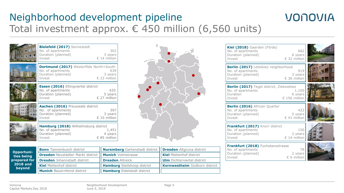### Neighborhood development pipeline Total investment approx.  $€$  450 million (6,560 units)

| <b>Cordina La La La</b><br>$\ln u \times \ln$ | <b>Bielefeld (2017)</b> Sennestadt<br>No. of apartments<br>Duration (planned)<br>Invest             | 302<br>3 years<br>€ 14 million          |
|-----------------------------------------------|-----------------------------------------------------------------------------------------------------|-----------------------------------------|
|                                               | <b>Dortmund (2017)</b> Westerfilde North+South<br>No. of apartments<br>Duration (planned)<br>Invest | 639<br>3 years<br>€ 23 million          |
|                                               | <b>Essen (2016)</b> Eltingviertel district<br>No. of apartments<br>Duration (planned)<br>Invest     | 420<br>5 years<br>€ 27 million          |
|                                               | Aachen (2016) Preuswald district<br>No. of apartments<br>Duration (planned)<br>Invest               | 397<br>3 years<br>$\epsilon$ 10 million |
|                                               | Hamburg (2018) Wilhelmsburg district<br>No. of apartments<br>Duration (planned)<br>Invest           | 1,451<br>4 years<br>€ 85 million        |



| Kiel (2018) Gaarden (Förde)<br>No. of apartments<br>Duration (planned)<br>Invest                 | 682<br>6 years<br>€ 32 million    |                         |
|--------------------------------------------------------------------------------------------------|-----------------------------------|-------------------------|
| <b>Berlin (2017)</b> Lettekiez neighborhood<br>No. of apartments<br>Duration (planned)<br>Invest | 919<br>3 years<br>€ 36 million    | 情<br>presistas I<br>Ħ   |
| Berlin (2017) Tegel district, Ziekowkiez<br>No. of apartments<br>Duration<br>Invest              | 1,100<br>6 years<br>€ 156 million | <b>THE AN ITTLE THE</b> |
| <b>Berlin (2016)</b> African Quarter<br>No. of apartments<br>Duration (planned)<br>Invest        | 422<br>5 years<br>€ 41 million    |                         |
| Frankfurt (2017) Knorr district<br>No. of apartments<br>Duration (planned)<br>Invest             | 150<br>2 years<br>€ 14 million    |                         |
| Frankfurt (2018) Fuchstanzstrasse<br>No. of apartments<br>Duration (planned)                     | 78<br>2 years                     |                         |

VONOVIA

Invest € 6 million

| Opportuni-                                 | <b>Bonn</b> Tannenbusch district                              | Nuremberg Gartenstadt district    Dresden Altgruna district |                                         |
|--------------------------------------------|---------------------------------------------------------------|-------------------------------------------------------------|-----------------------------------------|
| ties being                                 | <b>Dresden</b> Neustädter Markt district   Munich Volmstrasse |                                                             | <b>II Kiel</b> Mettenhof district       |
| prepared for                               | <b>Dresden</b> Johannstadt district                           | <b>Dresden</b> Altreick                                     | <b>Um</b> Dichterviertel district       |
| <b>2018 and</b><br>Kiel Mettenhof district |                                                               | <b>Hamburg</b> Steilshoop district                          | <b>II Kornwestheim</b> Südkorn district |
| beyond                                     | <b>Munich</b> Bauernfeind district                            | <b>Hamburg</b> Eidelstedt district                          |                                         |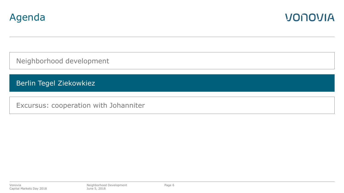



Neighborhood development

Berlin Tegel Ziekowkiez

Excursus: cooperation with Johanniter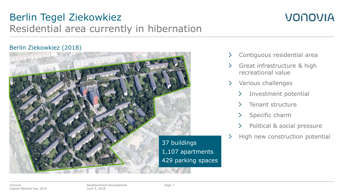### Berlin Tegel Ziekowkiez Residential area currently in hibernation

### VONOVIA

#### Berlin Ziekowkiez (2018)



- $\geq$ Contiguous residential area
- Great infrastructure & high recreational value
- Various challenges  $\geq$ 
	- Investment potential
	- Tenant structure
	- Specific charm
	- Political & social pressure
- High new construction potential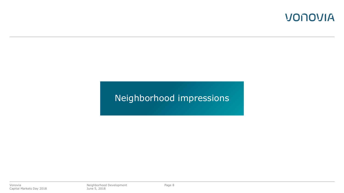#### Neighborhood impressions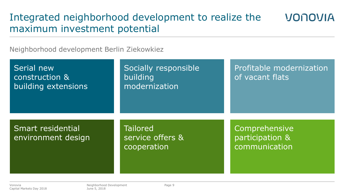### Integrated neighborhood development to realize the maximum investment potential

Neighborhood development Berlin Ziekowkiez

| Serial new<br>construction &<br>building extensions | Socially responsible<br>building<br>modernization  | Profitable modernization<br>of vacant flats       |
|-----------------------------------------------------|----------------------------------------------------|---------------------------------------------------|
| Smart residential<br>environment design             | <b>Tailored</b><br>service offers &<br>cooperation | Comprehensive<br>participation &<br>communication |

**VONOVIA**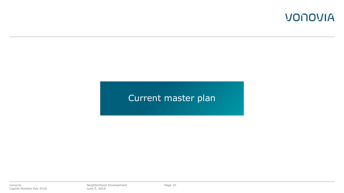#### Current master plan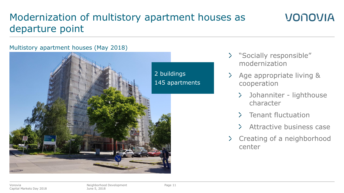# Modernization of multistory apartment houses as departure point

# Multistory apartment houses (May 2018) 2 buildings 145 apartments

#### "Socially responsible" modernization

- Age appropriate living & cooperation
	- $\sum_{i=1}^{n}$ Johanniter - lighthouse character

VONOVIA

- $\sum$ Tenant fluctuation
- Attractive business case
- $\sum$ Creating of a neighborhood center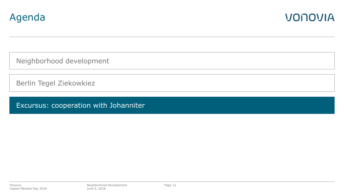



Neighborhood development

Berlin Tegel Ziekowkiez

Excursus: cooperation with Johanniter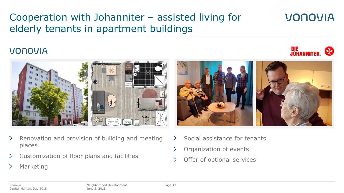# Cooperation with Johanniter – assisted living for elderly tenants in apartment buildings

#### VONOVIA



- Renovation and provision of building and meeting ≻ places
- Customization of floor plans and facilities ≻
- $\geq$ **Marketing**



VONOVIA

DIE<br>Johanniter.

- Social assistance for tenants ≻
- Organization of events ≻
- Offer of optional services  $\geq$

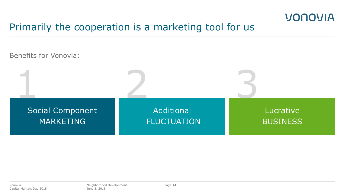### Primarily the cooperation is a marketing tool for us

Benefits for Vonovia: